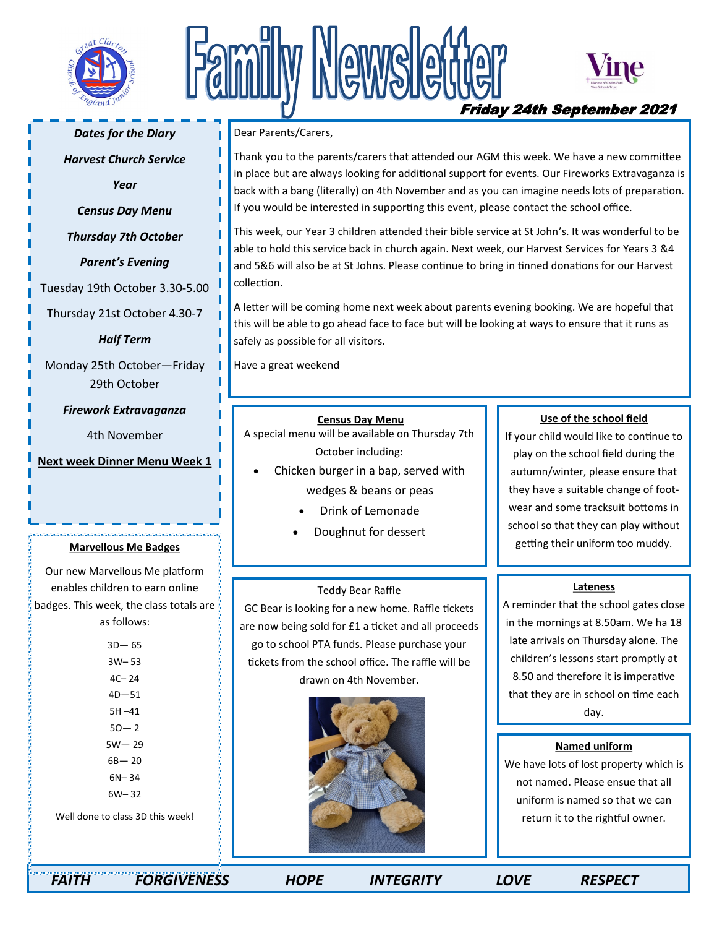

# Newslet



# Friday 24th September 2021

#### *Dates for the Diary*

*Harvest Church Service* 

*Year* 

*Census Day Menu* 

*Thursday 7th October* 

*Parent's Evening* 

Tuesday 19th October 3.30-5.00

Thursday 21st October 4.30-7

*Half Term* 

Monday 25th October—Friday 29th October

*Firework Extravaganza* 

4th November

**Next week Dinner Menu Week 1** 

#### **Marvellous Me Badges**

Our new Marvellous Me platform enables children to earn online badges. This week, the class totals are as follows:

> 3D— 65 3W– 53 4C– 24 4D—51 5H –41  $50 - 2$ 5W— 29 6B— 20 6N– 34 6W– 32 Well done to class 3D this week!

Dear Parents/Carers,

Thank you to the parents/carers that attended our AGM this week. We have a new committee in place but are always looking for additional support for events. Our Fireworks Extravaganza is back with a bang (literally) on 4th November and as you can imagine needs lots of preparation. If you would be interested in supporting this event, please contact the school office.

This week, our Year 3 children attended their bible service at St John's. It was wonderful to be able to hold this service back in church again. Next week, our Harvest Services for Years 3 &4 and 5&6 will also be at St Johns. Please continue to bring in tinned donations for our Harvest collection.

A letter will be coming home next week about parents evening booking. We are hopeful that this will be able to go ahead face to face but will be looking at ways to ensure that it runs as safely as possible for all visitors.

Have a great weekend

#### **Census Day Menu**

A special menu will be available on Thursday 7th October including:

- Chicken burger in a bap, served with wedges & beans or peas
	- Drink of Lemonade
	- Doughnut for dessert

#### Teddy Bear Raffle

GC Bear is looking for a new home. Raffle tickets are now being sold for £1 a ticket and all proceeds go to school PTA funds. Please purchase your tickets from the school office. The raffle will be drawn on 4th November.



### **Use of the school field**

If your child would like to continue to play on the school field during the autumn/winter, please ensure that they have a suitable change of footwear and some tracksuit bottoms in school so that they can play without getting their uniform too muddy.

#### **Lateness**

A reminder that the school gates close in the mornings at 8.50am. We ha 18 late arrivals on Thursday alone. The children's lessons start promptly at 8.50 and therefore it is imperative that they are in school on time each day.

#### **Named uniform**

We have lots of lost property which is not named. Please ensue that all uniform is named so that we can return it to the rightful owner.

 *FAITH FORGIVENESS HOPE INTEGRITY LOVE RESPECT*